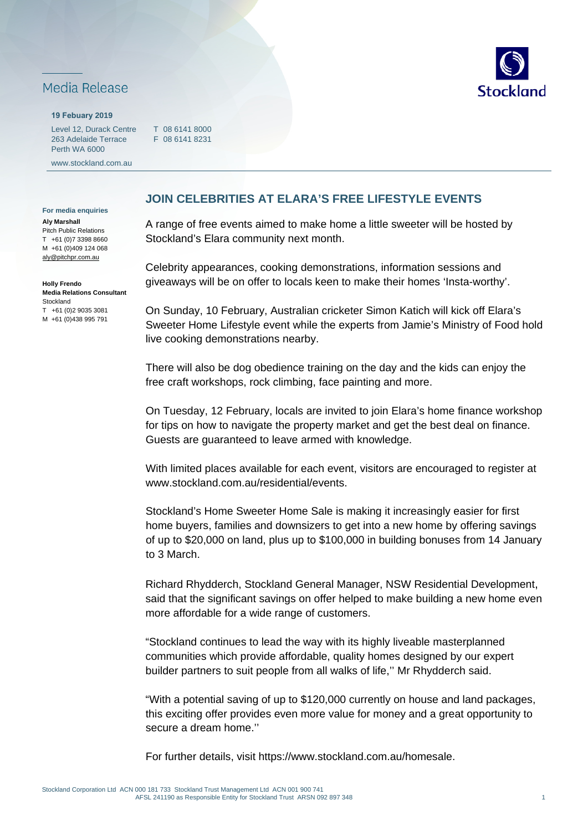## Media Release

## **19 Febuary 2019**

Level 12, Durack Centre T 08 6141 8000 263 Adelaide Terrace Perth WA 6000

www.stockland.com.au

F 08 6141 8231

**For media enquiries**

**Aly Marshall** Pitch Public Relations T +61 (0)7 3398 8660 M +61 (0)409 124 068 [aly@pitchpr.com.au](mailto:aly@pitchpr.com.au) 

**Holly Frendo Media Relations Consultant**  Stockland T +61 (0)2 9035 3081 M +61 (0)438 995 791

## **JOIN CELEBRITIES AT ELARA'S FREE LIFESTYLE EVENTS**

A range of free events aimed to make home a little sweeter will be hosted by Stockland's Elara community next month.

Celebrity appearances, cooking demonstrations, information sessions and giveaways will be on offer to locals keen to make their homes 'Insta-worthy'.

On Sunday, 10 February, Australian cricketer Simon Katich will kick off Elara's Sweeter Home Lifestyle event while the experts from Jamie's Ministry of Food hold live cooking demonstrations nearby.

There will also be dog obedience training on the day and the kids can enjoy the free craft workshops, rock climbing, face painting and more.

On Tuesday, 12 February, locals are invited to join Elara's home finance workshop for tips on how to navigate the property market and get the best deal on finance. Guests are guaranteed to leave armed with knowledge.

With limited places available for each event, visitors are encouraged to register at www.stockland.com.au/residential/events.

Stockland's Home Sweeter Home Sale is making it increasingly easier for first home buyers, families and downsizers to get into a new home by offering savings of up to \$20,000 on land, plus up to \$100,000 in building bonuses from 14 January to 3 March.

Richard Rhydderch, Stockland General Manager, NSW Residential Development, said that the significant savings on offer helped to make building a new home even more affordable for a wide range of customers.

"Stockland continues to lead the way with its highly liveable masterplanned communities which provide affordable, quality homes designed by our expert builder partners to suit people from all walks of life,'' Mr Rhydderch said.

"With a potential saving of up to \$120,000 currently on house and land packages, this exciting offer provides even more value for money and a great opportunity to secure a dream home.''

For further details, visit [https://www.stockland.com.au/homesale.](https://www.stockland.com.au/homesale)